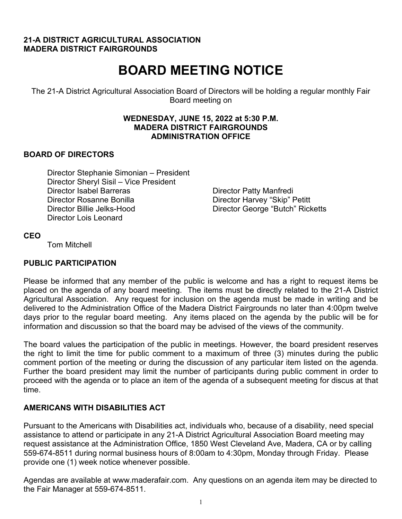#### **21-A DISTRICT AGRICULTURAL ASSOCIATION MADERA DISTRICT FAIRGROUNDS**

# **BOARD MEETING NOTICE**

The 21-A District Agricultural Association Board of Directors will be holding a regular monthly Fair Board meeting on

#### **WEDNESDAY, JUNE 15, 2022 at 5:30 P.M. MADERA DISTRICT FAIRGROUNDS ADMINISTRATION OFFICE**

# **BOARD OF DIRECTORS**

Director Stephanie Simonian – President Director Sheryl Sisil – Vice President Director Isabel Barreras **Director Patty Manfredi** Director Rosanne Bonilla Director Harvey "Skip" Petitt Director Billie Jelks-Hood Director George "Butch" Ricketts Director Lois Leonard

#### **CEO**

Tom Mitchell

# **PUBLIC PARTICIPATION**

Please be informed that any member of the public is welcome and has a right to request items be placed on the agenda of any board meeting. The items must be directly related to the 21-A District Agricultural Association. Any request for inclusion on the agenda must be made in writing and be delivered to the Administration Office of the Madera District Fairgrounds no later than 4:00pm twelve days prior to the regular board meeting. Any items placed on the agenda by the public will be for information and discussion so that the board may be advised of the views of the community.

The board values the participation of the public in meetings. However, the board president reserves the right to limit the time for public comment to a maximum of three (3) minutes during the public comment portion of the meeting or during the discussion of any particular item listed on the agenda. Further the board president may limit the number of participants during public comment in order to proceed with the agenda or to place an item of the agenda of a subsequent meeting for discus at that time.

#### **AMERICANS WITH DISABILITIES ACT**

Pursuant to the Americans with Disabilities act, individuals who, because of a disability, need special assistance to attend or participate in any 21-A District Agricultural Association Board meeting may request assistance at the Administration Office, 1850 West Cleveland Ave, Madera, CA or by calling 559-674-8511 during normal business hours of 8:00am to 4:30pm, Monday through Friday. Please provide one (1) week notice whenever possible.

Agendas are available at www.maderafair.com. Any questions on an agenda item may be directed to the Fair Manager at 559-674-8511.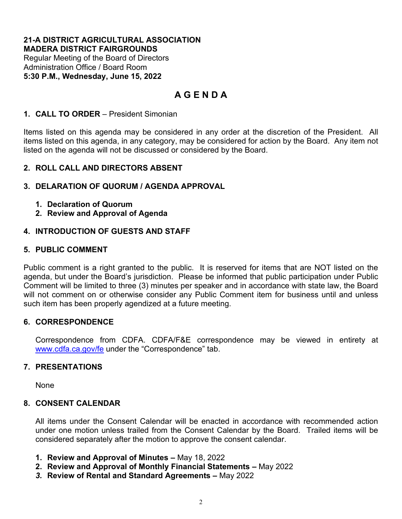#### **21-A DISTRICT AGRICULTURAL ASSOCIATION MADERA DISTRICT FAIRGROUNDS**

Regular Meeting of the Board of Directors Administration Office / Board Room **5:30 P.M., Wednesday, June 15, 2022** 

# **A G E N D A**

#### **1. CALL TO ORDER** – President Simonian

Items listed on this agenda may be considered in any order at the discretion of the President. All items listed on this agenda, in any category, may be considered for action by the Board. Any item not listed on the agenda will not be discussed or considered by the Board.

# **2. ROLL CALL AND DIRECTORS ABSENT**

# **3. DELARATION OF QUORUM / AGENDA APPROVAL**

- **1. Declaration of Quorum**
- **2. Review and Approval of Agenda**

# **4. INTRODUCTION OF GUESTS AND STAFF**

# **5. PUBLIC COMMENT**

Public comment is a right granted to the public. It is reserved for items that are NOT listed on the agenda, but under the Board's jurisdiction. Please be informed that public participation under Public Comment will be limited to three (3) minutes per speaker and in accordance with state law, the Board will not comment on or otherwise consider any Public Comment item for business until and unless such item has been properly agendized at a future meeting.

#### **6. CORRESPONDENCE**

Correspondence from CDFA. CDFA/F&E correspondence may be viewed in entirety at [www.cdfa.ca.gov/fe](http://www.cdfa.ca.gov/fe) under the "Correspondence" tab.

#### **7. PRESENTATIONS**

None

#### **8. CONSENT CALENDAR**

All items under the Consent Calendar will be enacted in accordance with recommended action under one motion unless trailed from the Consent Calendar by the Board. Trailed items will be considered separately after the motion to approve the consent calendar.

- **1. Review and Approval of Minutes –** May 18, 2022
- **2. Review and Approval of Monthly Financial Statements** May 2022
- *3.* **Review of Rental and Standard Agreements** May 2022